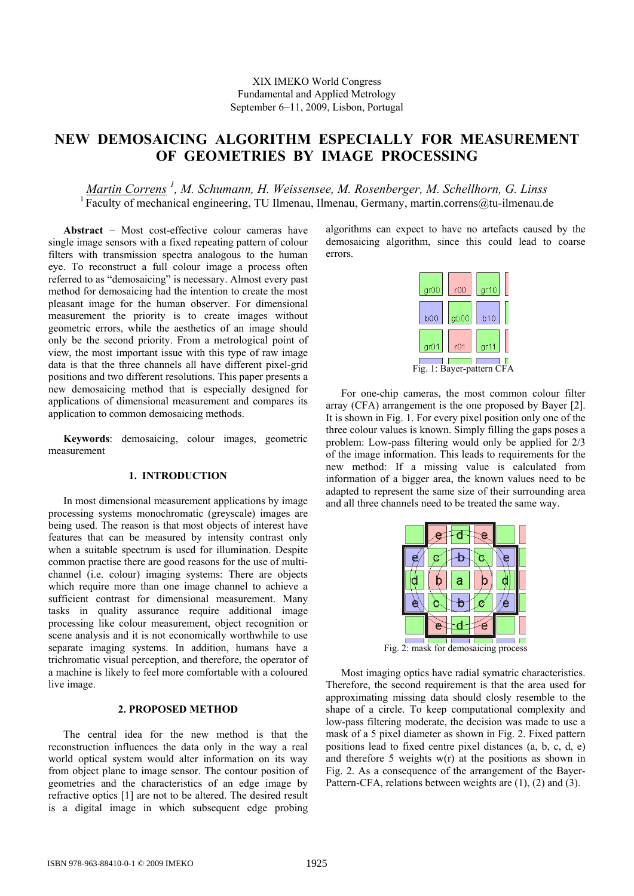# **NEW DEMOSAICING ALGORITHM ESPECIALLY FOR MEASUREMENT OF GEOMETRIES BY IMAGE PROCESSING**

## *Martin Correns <sup>1</sup> , M. Schumann, H. Weissensee, M. Rosenberger, M. Schellhorn, G. Linss*  <sup>1</sup> Faculty of mechanical engineering, TU Ilmenau, Ilmenau, Germany, martin.correns@tu-ilmenau.de

**Abstract** − Most cost-effective colour cameras have single image sensors with a fixed repeating pattern of colour filters with transmission spectra analogous to the human eye. To reconstruct a full colour image a process often referred to as "demosaicing" is necessary. Almost every past method for demosaicing had the intention to create the most pleasant image for the human observer. For dimensional measurement the priority is to create images without geometric errors, while the aesthetics of an image should only be the second priority. From a metrological point of view, the most important issue with this type of raw image data is that the three channels all have different pixel-grid positions and two different resolutions. This paper presents a new demosaicing method that is especially designed for applications of dimensional measurement and compares its application to common demosaicing methods.

**Keywords**: demosaicing, colour images, geometric measurement

## **1. INTRODUCTION**

In most dimensional measurement applications by image processing systems monochromatic (greyscale) images are being used. The reason is that most objects of interest have features that can be measured by intensity contrast only when a suitable spectrum is used for illumination. Despite common practise there are good reasons for the use of multichannel (i.e. colour) imaging systems: There are objects which require more than one image channel to achieve a sufficient contrast for dimensional measurement. Many tasks in quality assurance require additional image processing like colour measurement, object recognition or scene analysis and it is not economically worthwhile to use separate imaging systems. In addition, humans have a trichromatic visual perception, and therefore, the operator of a machine is likely to feel more comfortable with a coloured live image.

## **2. PROPOSED METHOD**

The central idea for the new method is that the reconstruction influences the data only in the way a real world optical system would alter information on its way from object plane to image sensor. The contour position of geometries and the characteristics of an edge image by refractive optics [1] are not to be altered. The desired result is a digital image in which subsequent edge probing algorithms can expect to have no artefacts caused by the demosaicing algorithm, since this could lead to coarse errors.

| gr00 | r00  | gr10 |
|------|------|------|
| b00  | gb00 | b10  |
| gr01 | r01  | gr11 |
|      |      |      |

Fig. 1: Bayer-pattern CFA

For one-chip cameras, the most common colour filter array (CFA) arrangement is the one proposed by Bayer [2]. It is shown in Fig. 1. For every pixel position only one of the three colour values is known. Simply filling the gaps poses a problem: Low-pass filtering would only be applied for 2/3 of the image information. This leads to requirements for the new method: If a missing value is calculated from information of a bigger area, the known values need to be adapted to represent the same size of their surrounding area and all three channels need to be treated the same way.

| ā |  |
|---|--|
| а |  |
| ٠ |  |
|   |  |
|   |  |

Fig. 2: mask for demosaicing process

Most imaging optics have radial symatric characteristics. Therefore, the second requirement is that the area used for approximating missing data should closly resemble to the shape of a circle. To keep computational complexity and low-pass filtering moderate, the decision was made to use a mask of a 5 pixel diameter as shown in Fig. 2. Fixed pattern positions lead to fixed centre pixel distances (a, b, c, d, e) and therefore 5 weights w(r) at the positions as shown in Fig. 2. As a consequence of the arrangement of the Bayer-Pattern-CFA, relations between weights are (1), (2) and (3).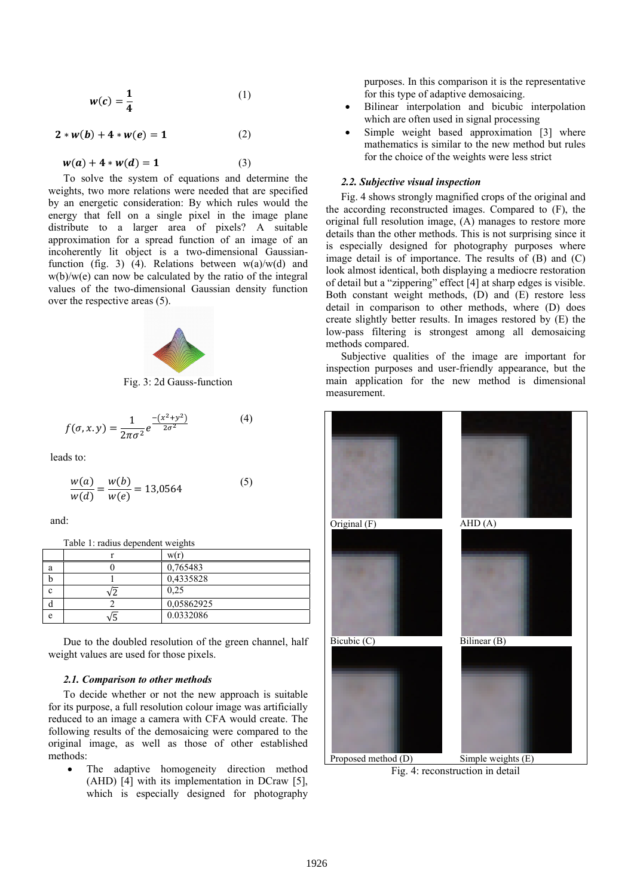$$
w(c) = \frac{1}{4} \tag{1}
$$

$$
2 * w(b) + 4 * w(e) = 1
$$
 (2)

$$
w(a) + 4 * w(d) = 1 \tag{3}
$$

To solve the system of equations and determine the weights, two more relations were needed that are specified by an energetic consideration: By which rules would the energy that fell on a single pixel in the image plane distribute to a larger area of pixels? A suitable approximation for a spread function of an image of an incoherently lit object is a two-dimensional Gaussianfunction (fig. 3) (4). Relations between  $w(a)/w(d)$  and w(b)/w(e) can now be calculated by the ratio of the integral values of the two-dimensional Gaussian density function over the respective areas (5).



Fig. 3: 2d Gauss-function

$$
f(\sigma, x, y) = \frac{1}{2\pi\sigma^2} e^{\frac{-(x^2 + y^2)}{2\sigma^2}}
$$
 (4)

leads to:

$$
\frac{w(a)}{w(d)} = \frac{w(b)}{w(e)} = 13,0564\tag{5}
$$

and:

Table 1: radius dependent weights

| a | 0,765483   |
|---|------------|
|   | 0,4335828  |
|   | 0.25       |
|   | 0,05862925 |
| е | 0.0332086  |

Due to the doubled resolution of the green channel, half weight values are used for those pixels.

#### *2.1. Comparison to other methods*

To decide whether or not the new approach is suitable for its purpose, a full resolution colour image was artificially reduced to an image a camera with CFA would create. The following results of the demosaicing were compared to the original image, as well as those of other established methods:

The adaptive homogeneity direction method (AHD) [4] with its implementation in DCraw [5], which is especially designed for photography

purposes. In this comparison it is the representative for this type of adaptive demosaicing.

- Bilinear interpolation and bicubic interpolation which are often used in signal processing
- Simple weight based approximation [3] where mathematics is similar to the new method but rules for the choice of the weights were less strict

#### *2.2. Subjective visual inspection*

Fig. 4 shows strongly magnified crops of the original and the according reconstructed images. Compared to (F), the original full resolution image, (A) manages to restore more details than the other methods. This is not surprising since it is especially designed for photography purposes where image detail is of importance. The results of (B) and (C) look almost identical, both displaying a mediocre restoration of detail but a "zippering" effect [4] at sharp edges is visible. Both constant weight methods, (D) and (E) restore less detail in comparison to other methods, where (D) does create slightly better results. In images restored by (E) the low-pass filtering is strongest among all demosaicing methods compared.

Subjective qualities of the image are important for inspection purposes and user-friendly appearance, but the main application for the new method is dimensional measurement.



Fig. 4: reconstruction in detail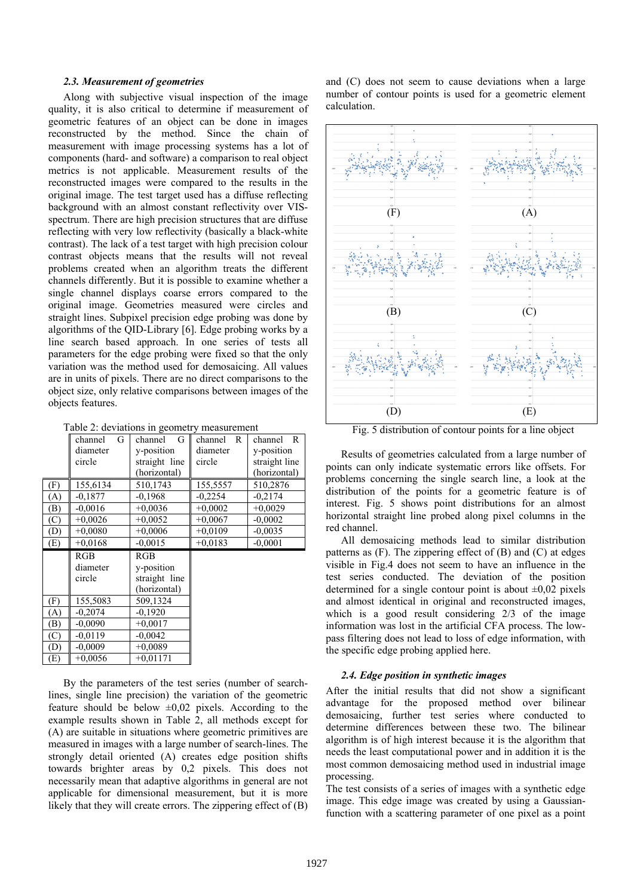#### *2.3. Measurement of geometries*

Along with subjective visual inspection of the image quality, it is also critical to determine if measurement of geometric features of an object can be done in images reconstructed by the method. Since the chain of measurement with image processing systems has a lot of components (hard- and software) a comparison to real object metrics is not applicable. Measurement results of the reconstructed images were compared to the results in the original image. The test target used has a diffuse reflecting background with an almost constant reflectivity over VISspectrum. There are high precision structures that are diffuse reflecting with very low reflectivity (basically a black-white contrast). The lack of a test target with high precision colour contrast objects means that the results will not reveal problems created when an algorithm treats the different channels differently. But it is possible to examine whether a single channel displays coarse errors compared to the original image. Geometries measured were circles and straight lines. Subpixel precision edge probing was done by algorithms of the QID-Library [6]. Edge probing works by a line search based approach. In one series of tests all parameters for the edge probing were fixed so that the only variation was the method used for demosaicing. All values are in units of pixels. There are no direct comparisons to the object size, only relative comparisons between images of the objects features.

Table 2: deviations in geometry measurement

|     | G<br>channel | G<br>channel  | channel<br>R | $\mathbb{R}$<br>channel |
|-----|--------------|---------------|--------------|-------------------------|
|     | diameter     | y-position    | diameter     | y-position              |
|     | circle       | straight line | circle       | straight line           |
|     |              | (horizontal)  |              | (horizontal)            |
| (F) | 155,6134     | 510,1743      | 155,5557     | 510,2876                |
| (A) | $-0.1877$    | $-0.1968$     | $-0.2254$    | $-0.2174$               |
| (B) | $-0.0016$    | $+0.0036$     | $+0,0002$    | $+0,0029$               |
| (C) | $+0,0026$    | $+0.0052$     | $+0,0067$    | $-0.0002$               |
| (D) | $+0,0080$    | $+0,0006$     | $+0,0109$    | $-0,0035$               |
| (E) | $+0.0168$    | $-0.0015$     | $+0,0183$    | $-0,0001$               |
|     |              |               |              |                         |
|     | RGB          | RGB           |              |                         |
|     | diameter     | y-position    |              |                         |
|     | circle       | straight line |              |                         |
|     |              | (horizontal)  |              |                         |
| (F) | 155,5083     | 509,1324      |              |                         |
| (A) | $-0,2074$    | $-0.1920$     |              |                         |
| (B) | $-0.0090$    | $+0,0017$     |              |                         |
| (C) | $-0.0119$    | $-0,0042$     |              |                         |
| (D) | $-0.0009$    | $+0.0089$     |              |                         |

By the parameters of the test series (number of searchlines, single line precision) the variation of the geometric feature should be below  $\pm 0.02$  pixels. According to the example results shown in Table 2, all methods except for (A) are suitable in situations where geometric primitives are measured in images with a large number of search-lines. The strongly detail oriented (A) creates edge position shifts towards brighter areas by 0,2 pixels. This does not necessarily mean that adaptive algorithms in general are not applicable for dimensional measurement, but it is more likely that they will create errors. The zippering effect of (B) and (C) does not seem to cause deviations when a large number of contour points is used for a geometric element calculation.



Fig. 5 distribution of contour points for a line object

Results of geometries calculated from a large number of points can only indicate systematic errors like offsets. For problems concerning the single search line, a look at the distribution of the points for a geometric feature is of interest. Fig. 5 shows point distributions for an almost horizontal straight line probed along pixel columns in the red channel.

All demosaicing methods lead to similar distribution patterns as  $(F)$ . The zippering effect of  $(B)$  and  $(C)$  at edges visible in Fig.4 does not seem to have an influence in the test series conducted. The deviation of the position determined for a single contour point is about  $\pm 0.02$  pixels and almost identical in original and reconstructed images, which is a good result considering 2/3 of the image information was lost in the artificial CFA process. The lowpass filtering does not lead to loss of edge information, with the specific edge probing applied here.

### *2.4. Edge position in synthetic images*

After the initial results that did not show a significant advantage for the proposed method over bilinear demosaicing, further test series where conducted to determine differences between these two. The bilinear algorithm is of high interest because it is the algorithm that needs the least computational power and in addition it is the most common demosaicing method used in industrial image processing.

The test consists of a series of images with a synthetic edge image. This edge image was created by using a Gaussianfunction with a scattering parameter of one pixel as a point